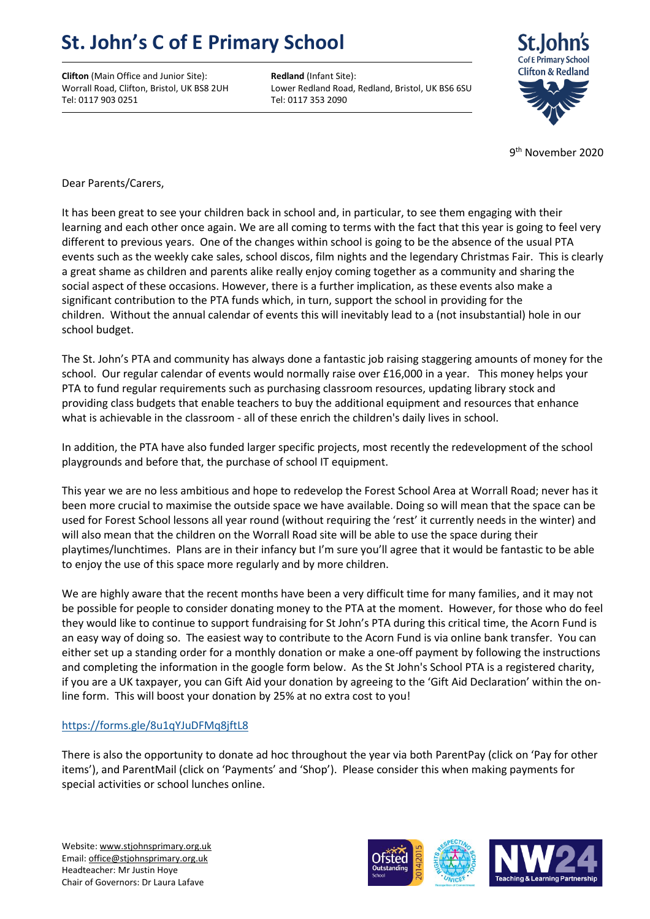## **St. John's C of E Primary School**

**Clifton** (Main Office and Junior Site): **Redland** (Infant Site): Tel: 0117 903 0251 Tel: 0117 353 2090

Worrall Road, Clifton, Bristol, UK BS8 2UH Lower Redland Road, Redland, Bristol, UK BS6 6SU



9<sup>th</sup> November 2020

Dear Parents/Carers,

It has been great to see your children back in school and, in particular, to see them engaging with their learning and each other once again. We are all coming to terms with the fact that this year is going to feel very different to previous years. One of the changes within school is going to be the absence of the usual PTA events such as the weekly cake sales, school discos, film nights and the legendary Christmas Fair. This is clearly a great shame as children and parents alike really enjoy coming together as a community and sharing the social aspect of these occasions. However, there is a further implication, as these events also make a significant contribution to the PTA funds which, in turn, support the school in providing for the children. Without the annual calendar of events this will inevitably lead to a (not insubstantial) hole in our school budget.

The St. John's PTA and community has always done a fantastic job raising staggering amounts of money for the school. Our regular calendar of events would normally raise over £16,000 in a year. This money helps your PTA to fund regular requirements such as purchasing classroom resources, updating library stock and providing class budgets that enable teachers to buy the additional equipment and resources that enhance what is achievable in the classroom - all of these enrich the children's daily lives in school.

In addition, the PTA have also funded larger specific projects, most recently the redevelopment of the school playgrounds and before that, the purchase of school IT equipment.

This year we are no less ambitious and hope to redevelop the Forest School Area at Worrall Road; never has it been more crucial to maximise the outside space we have available. Doing so will mean that the space can be used for Forest School lessons all year round (without requiring the 'rest' it currently needs in the winter) and will also mean that the children on the Worrall Road site will be able to use the space during their playtimes/lunchtimes. Plans are in their infancy but I'm sure you'll agree that it would be fantastic to be able to enjoy the use of this space more regularly and by more children.

We are highly aware that the recent months have been a very difficult time for many families, and it may not be possible for people to consider donating money to the PTA at the moment. However, for those who do feel they would like to continue to support fundraising for St John's PTA during this critical time, the Acorn Fund is an easy way of doing so. The easiest way to contribute to the Acorn Fund is via online bank transfer. You can either set up a standing order for a monthly donation or make a one-off payment by following the instructions and completing the information in the google form below. As the St John's School PTA is a registered charity, if you are a UK taxpayer, you can Gift Aid your donation by agreeing to the 'Gift Aid Declaration' within the online form. This will boost your donation by 25% at no extra cost to you!

## <https://forms.gle/8u1qYJuDFMq8jftL8>

There is also the opportunity to donate ad hoc throughout the year via both ParentPay (click on 'Pay for other items'), and ParentMail (click on 'Payments' and 'Shop'). Please consider this when making payments for special activities or school lunches online.